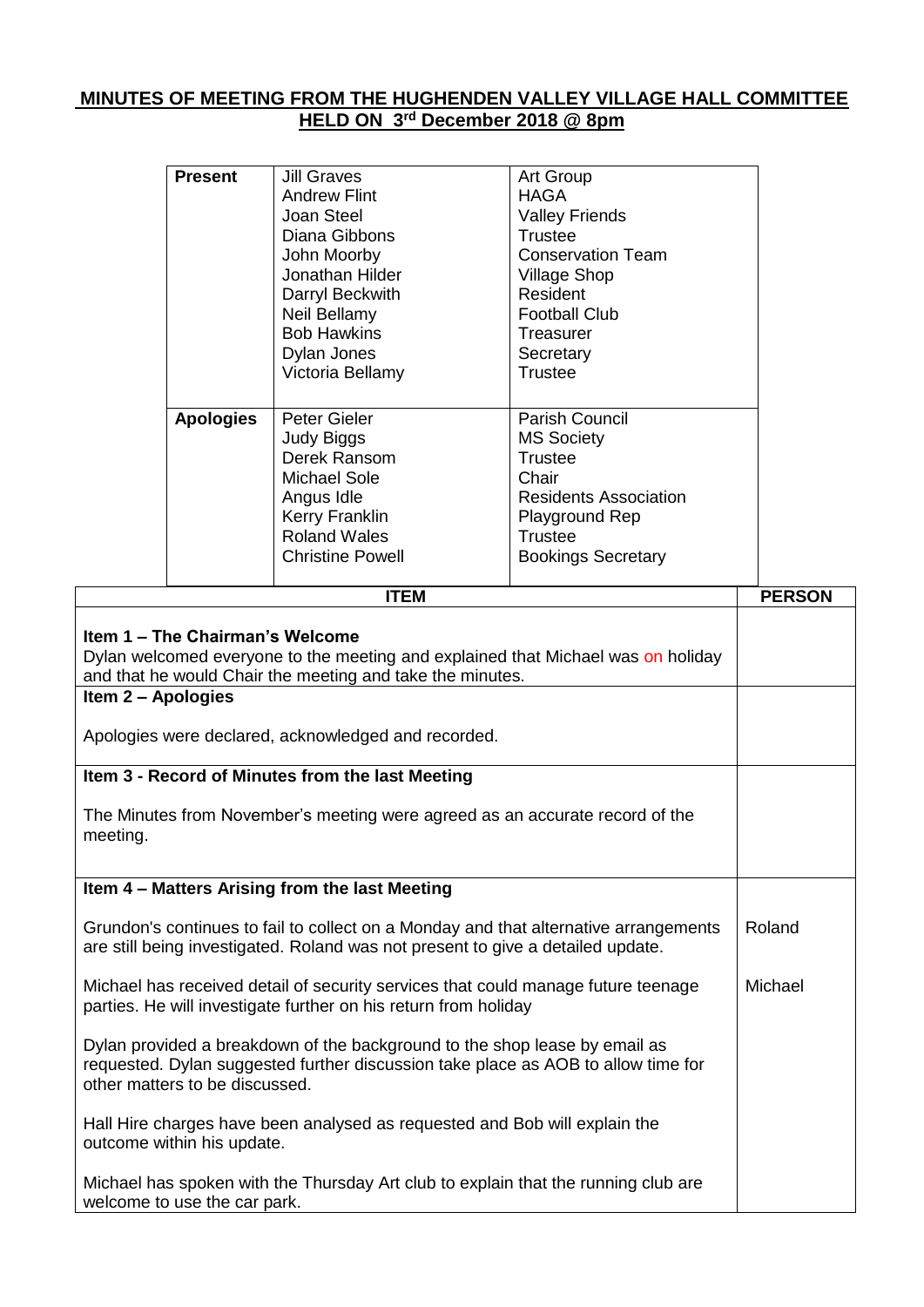## **MINUTES OF MEETING FROM THE HUGHENDEN VALLEY VILLAGE HALL COMMITTEE HELD ON 3 rd December 2018 @ 8pm**

|                                                                                                                                                                                                        | <b>Present</b>   | <b>Jill Graves</b>                                  | Art Group                    |               |
|--------------------------------------------------------------------------------------------------------------------------------------------------------------------------------------------------------|------------------|-----------------------------------------------------|------------------------------|---------------|
|                                                                                                                                                                                                        |                  | <b>Andrew Flint</b>                                 | <b>HAGA</b>                  |               |
|                                                                                                                                                                                                        |                  | Joan Steel                                          | <b>Valley Friends</b>        |               |
|                                                                                                                                                                                                        |                  | Diana Gibbons                                       | <b>Trustee</b>               |               |
|                                                                                                                                                                                                        |                  | John Moorby                                         | <b>Conservation Team</b>     |               |
|                                                                                                                                                                                                        |                  | Jonathan Hilder                                     | <b>Village Shop</b>          |               |
|                                                                                                                                                                                                        |                  | Darryl Beckwith                                     | Resident                     |               |
|                                                                                                                                                                                                        |                  | Neil Bellamy                                        | <b>Football Club</b>         |               |
|                                                                                                                                                                                                        |                  | <b>Bob Hawkins</b>                                  | <b>Treasurer</b>             |               |
|                                                                                                                                                                                                        |                  | Dylan Jones                                         | Secretary                    |               |
|                                                                                                                                                                                                        |                  | Victoria Bellamy                                    | <b>Trustee</b>               |               |
|                                                                                                                                                                                                        | <b>Apologies</b> | Peter Gieler                                        | Parish Council               |               |
|                                                                                                                                                                                                        |                  | <b>Judy Biggs</b>                                   | <b>MS Society</b>            |               |
|                                                                                                                                                                                                        |                  | Derek Ransom                                        | <b>Trustee</b>               |               |
|                                                                                                                                                                                                        |                  | <b>Michael Sole</b>                                 | Chair                        |               |
|                                                                                                                                                                                                        |                  | Angus Idle                                          | <b>Residents Association</b> |               |
|                                                                                                                                                                                                        |                  | <b>Kerry Franklin</b>                               | Playground Rep               |               |
|                                                                                                                                                                                                        |                  | <b>Roland Wales</b>                                 | <b>Trustee</b>               |               |
|                                                                                                                                                                                                        |                  | <b>Christine Powell</b>                             | <b>Bookings Secretary</b>    |               |
|                                                                                                                                                                                                        |                  |                                                     |                              |               |
|                                                                                                                                                                                                        |                  | <b>ITEM</b>                                         |                              | <b>PERSON</b> |
| Item 1 - The Chairman's Welcome<br>Dylan welcomed everyone to the meeting and explained that Michael was on holiday<br>and that he would Chair the meeting and take the minutes.<br>Item 2 - Apologies |                  |                                                     |                              |               |
|                                                                                                                                                                                                        |                  | Apologies were declared, acknowledged and recorded. |                              |               |
|                                                                                                                                                                                                        |                  | Item 3 - Record of Minutes from the last Meeting    |                              |               |
| The Minutes from November's meeting were agreed as an accurate record of the<br>meeting.                                                                                                               |                  |                                                     |                              |               |
|                                                                                                                                                                                                        |                  | Item 4 - Matters Arising from the last Meeting      |                              |               |
| Grundon's continues to fail to collect on a Monday and that alternative arrangements                                                                                                                   | Roland           |                                                     |                              |               |
| are still being investigated. Roland was not present to give a detailed update.                                                                                                                        |                  |                                                     |                              |               |
| Michael has received detail of security services that could manage future teenage<br>parties. He will investigate further on his return from holiday                                                   | Michael          |                                                     |                              |               |
| Dylan provided a breakdown of the background to the shop lease by email as<br>requested. Dylan suggested further discussion take place as AOB to allow time for<br>other matters to be discussed.      |                  |                                                     |                              |               |
| Hall Hire charges have been analysed as requested and Bob will explain the<br>outcome within his update.                                                                                               |                  |                                                     |                              |               |
| Michael has spoken with the Thursday Art club to explain that the running club are                                                                                                                     |                  |                                                     |                              |               |

welcome to use the car park.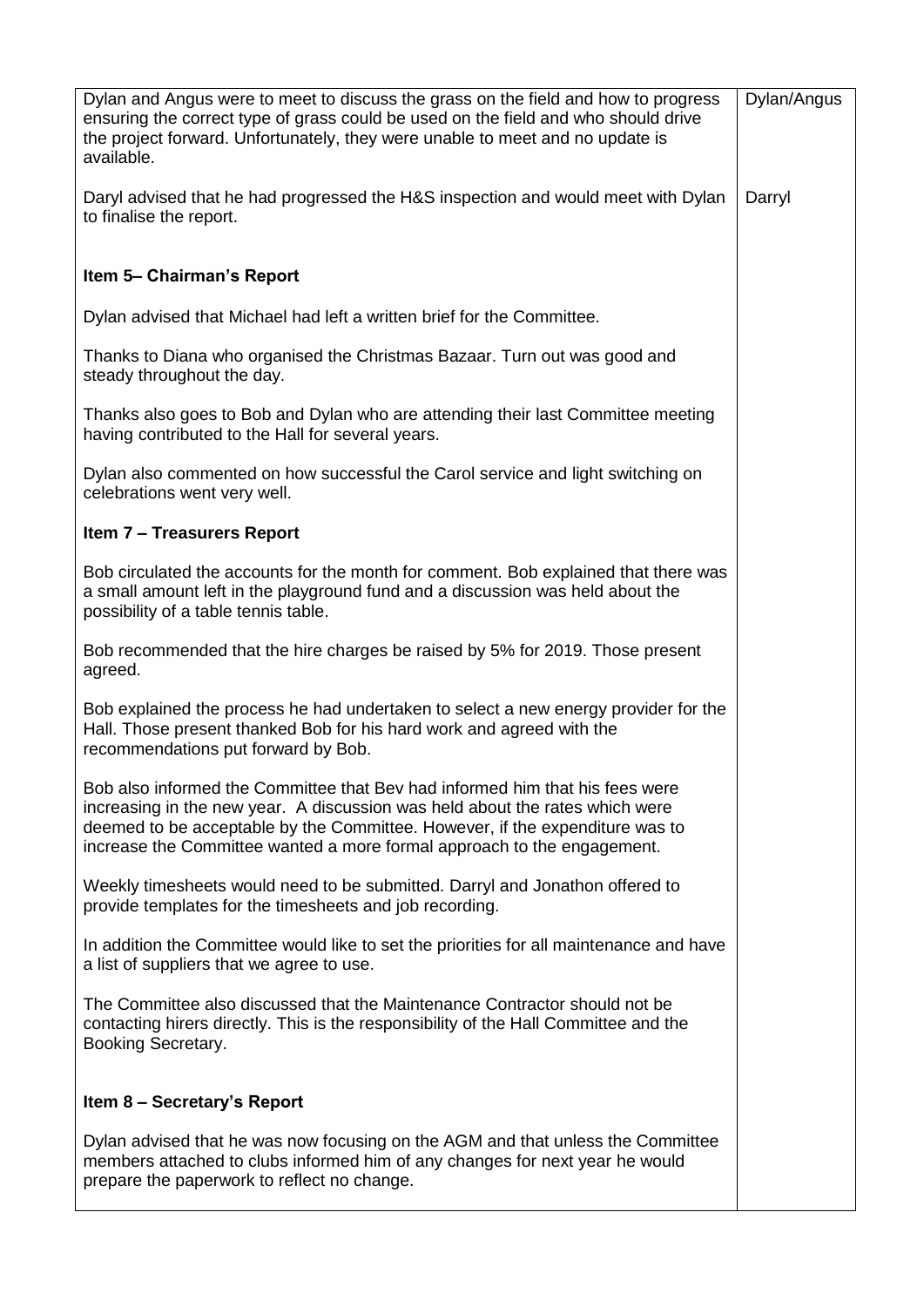| Dylan and Angus were to meet to discuss the grass on the field and how to progress<br>ensuring the correct type of grass could be used on the field and who should drive<br>the project forward. Unfortunately, they were unable to meet and no update is<br>available.                                                 | Dylan/Angus |
|-------------------------------------------------------------------------------------------------------------------------------------------------------------------------------------------------------------------------------------------------------------------------------------------------------------------------|-------------|
| Daryl advised that he had progressed the H&S inspection and would meet with Dylan<br>to finalise the report.                                                                                                                                                                                                            | Darryl      |
| Item 5- Chairman's Report                                                                                                                                                                                                                                                                                               |             |
| Dylan advised that Michael had left a written brief for the Committee.                                                                                                                                                                                                                                                  |             |
| Thanks to Diana who organised the Christmas Bazaar. Turn out was good and<br>steady throughout the day.                                                                                                                                                                                                                 |             |
| Thanks also goes to Bob and Dylan who are attending their last Committee meeting<br>having contributed to the Hall for several years.                                                                                                                                                                                   |             |
| Dylan also commented on how successful the Carol service and light switching on<br>celebrations went very well.                                                                                                                                                                                                         |             |
| <b>Item 7 - Treasurers Report</b>                                                                                                                                                                                                                                                                                       |             |
| Bob circulated the accounts for the month for comment. Bob explained that there was<br>a small amount left in the playground fund and a discussion was held about the<br>possibility of a table tennis table.                                                                                                           |             |
| Bob recommended that the hire charges be raised by 5% for 2019. Those present<br>agreed.                                                                                                                                                                                                                                |             |
| Bob explained the process he had undertaken to select a new energy provider for the<br>Hall. Those present thanked Bob for his hard work and agreed with the<br>recommendations put forward by Bob.                                                                                                                     |             |
| Bob also informed the Committee that Bev had informed him that his fees were<br>increasing in the new year. A discussion was held about the rates which were<br>deemed to be acceptable by the Committee. However, if the expenditure was to<br>increase the Committee wanted a more formal approach to the engagement. |             |
| Weekly timesheets would need to be submitted. Darryl and Jonathon offered to<br>provide templates for the timesheets and job recording.                                                                                                                                                                                 |             |
| In addition the Committee would like to set the priorities for all maintenance and have<br>a list of suppliers that we agree to use.                                                                                                                                                                                    |             |
| The Committee also discussed that the Maintenance Contractor should not be<br>contacting hirers directly. This is the responsibility of the Hall Committee and the<br>Booking Secretary.                                                                                                                                |             |
| Item 8 - Secretary's Report                                                                                                                                                                                                                                                                                             |             |
| Dylan advised that he was now focusing on the AGM and that unless the Committee<br>members attached to clubs informed him of any changes for next year he would<br>prepare the paperwork to reflect no change.                                                                                                          |             |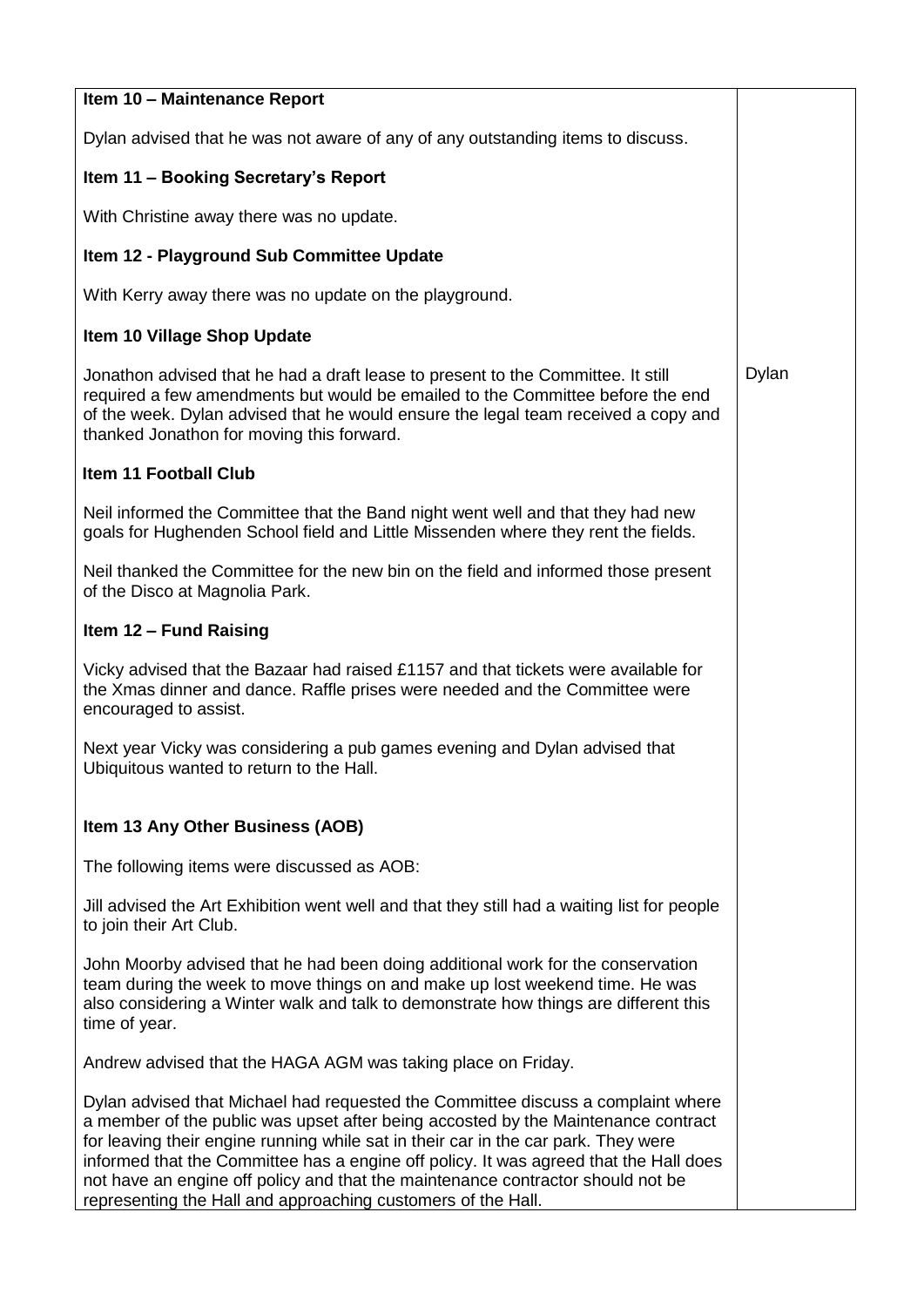| Item 10 - Maintenance Report                                                                                                                                                                                                                                                                                                                                                                                                                                                                            |       |
|---------------------------------------------------------------------------------------------------------------------------------------------------------------------------------------------------------------------------------------------------------------------------------------------------------------------------------------------------------------------------------------------------------------------------------------------------------------------------------------------------------|-------|
| Dylan advised that he was not aware of any of any outstanding items to discuss.                                                                                                                                                                                                                                                                                                                                                                                                                         |       |
| Item 11 - Booking Secretary's Report                                                                                                                                                                                                                                                                                                                                                                                                                                                                    |       |
| With Christine away there was no update.                                                                                                                                                                                                                                                                                                                                                                                                                                                                |       |
| Item 12 - Playground Sub Committee Update                                                                                                                                                                                                                                                                                                                                                                                                                                                               |       |
| With Kerry away there was no update on the playground.                                                                                                                                                                                                                                                                                                                                                                                                                                                  |       |
| Item 10 Village Shop Update                                                                                                                                                                                                                                                                                                                                                                                                                                                                             |       |
| Jonathon advised that he had a draft lease to present to the Committee. It still<br>required a few amendments but would be emailed to the Committee before the end<br>of the week. Dylan advised that he would ensure the legal team received a copy and<br>thanked Jonathon for moving this forward.                                                                                                                                                                                                   | Dylan |
| Item 11 Football Club                                                                                                                                                                                                                                                                                                                                                                                                                                                                                   |       |
| Neil informed the Committee that the Band night went well and that they had new<br>goals for Hughenden School field and Little Missenden where they rent the fields.                                                                                                                                                                                                                                                                                                                                    |       |
| Neil thanked the Committee for the new bin on the field and informed those present<br>of the Disco at Magnolia Park.                                                                                                                                                                                                                                                                                                                                                                                    |       |
| Item 12 - Fund Raising                                                                                                                                                                                                                                                                                                                                                                                                                                                                                  |       |
| Vicky advised that the Bazaar had raised £1157 and that tickets were available for<br>the Xmas dinner and dance. Raffle prises were needed and the Committee were<br>encouraged to assist.                                                                                                                                                                                                                                                                                                              |       |
| Next year Vicky was considering a pub games evening and Dylan advised that<br>Ubiquitous wanted to return to the Hall.                                                                                                                                                                                                                                                                                                                                                                                  |       |
| Item 13 Any Other Business (AOB)                                                                                                                                                                                                                                                                                                                                                                                                                                                                        |       |
| The following items were discussed as AOB:                                                                                                                                                                                                                                                                                                                                                                                                                                                              |       |
| Jill advised the Art Exhibition went well and that they still had a waiting list for people<br>to join their Art Club.                                                                                                                                                                                                                                                                                                                                                                                  |       |
| John Moorby advised that he had been doing additional work for the conservation<br>team during the week to move things on and make up lost weekend time. He was<br>also considering a Winter walk and talk to demonstrate how things are different this<br>time of year.                                                                                                                                                                                                                                |       |
| Andrew advised that the HAGA AGM was taking place on Friday.                                                                                                                                                                                                                                                                                                                                                                                                                                            |       |
| Dylan advised that Michael had requested the Committee discuss a complaint where<br>a member of the public was upset after being accosted by the Maintenance contract<br>for leaving their engine running while sat in their car in the car park. They were<br>informed that the Committee has a engine off policy. It was agreed that the Hall does<br>not have an engine off policy and that the maintenance contractor should not be<br>representing the Hall and approaching customers of the Hall. |       |